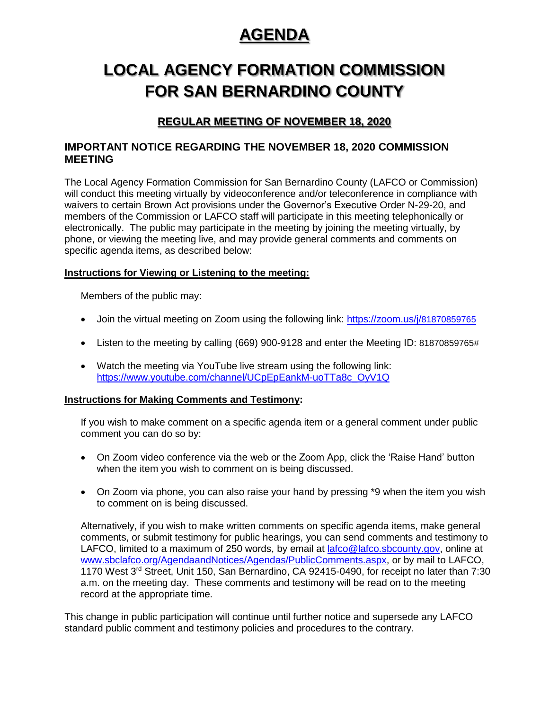# **AGENDA** AGENDA

# **LOCAL AGENCY FORMATION COMMISSION** LOCAL AGENCY FORMATION COMMISSION **FOR SAN BERNARDINO COUNTY** FOR SAN BERNARDINO COUNTY

# **REGULAR MEETING OF NOVEMBER 18, 2020**

## **IMPORTANT NOTICE REGARDING THE NOVEMBER 18, 2020 COMMISSION MEETING**

The Local Agency Formation Commission for San Bernardino County (LAFCO or Commission) will conduct this meeting virtually by videoconference and/or teleconference in compliance with waivers to certain Brown Act provisions under the Governor's Executive Order N-29-20, and members of the Commission or LAFCO staff will participate in this meeting telephonically or electronically. The public may participate in the meeting by joining the meeting virtually, by phone, or viewing the meeting live, and may provide general comments and comments on specific agenda items, as described below:

#### **Instructions for Viewing or Listening to the meeting:**

Members of the public may:

- Join the virtual meeting on Zoom using the following link: [https://zoom.us/j/](https://zoom.us/j/81870859765)81870859765
- Listen to the meeting by calling (669) 900-9128 and enter the Meeting ID: 81870859765#
- Watch the meeting via YouTube live stream using the following link: [https://www.youtube.com/channel/UCpEpEankM-uoTTa8c\\_OyV1Q](https://www.youtube.com/channel/UCpEpEankM-uoTTa8c_OyV1Q)

#### **Instructions for Making Comments and Testimony:**

If you wish to make comment on a specific agenda item or a general comment under public comment you can do so by:

- On Zoom video conference via the web or the Zoom App, click the 'Raise Hand' button when the item you wish to comment on is being discussed.
- On Zoom via phone, you can also raise your hand by pressing \*9 when the item you wish to comment on is being discussed.

Alternatively, if you wish to make written comments on specific agenda items, make general comments, or submit testimony for public hearings, you can send comments and testimony to LAFCO, limited to a maximum of 250 words, by email at [lafco@lafco.sbcounty.gov,](mailto:lafco@lafco.sbcounty.gov) online at [www.sbclafco.org/AgendaandNotices/Agendas/PublicComments.aspx,](http://www.sbclafco.org/AgendaandNotices/Agendas/PublicComments.aspx) or by mail to LAFCO, 1170 West 3rd Street, Unit 150, San Bernardino, CA 92415-0490, for receipt no later than 7:30 a.m. on the meeting day. These comments and testimony will be read on to the meeting record at the appropriate time.

This change in public participation will continue until further notice and supersede any LAFCO standard public comment and testimony policies and procedures to the contrary.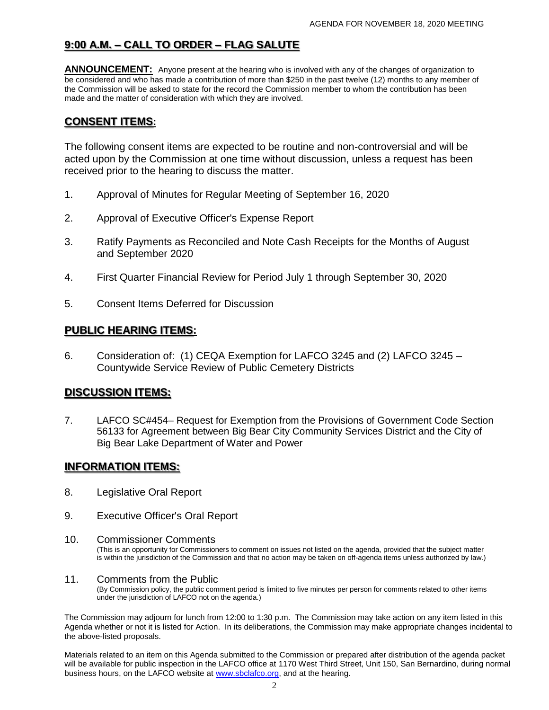# **9:00 A.M. – CALL TO ORDER – FLAG SALUTE**  9·00 AM -CA

**ANNOUNCEMENT:** Anyone present at the hearing who is involved with any of the changes of organization to be considered and who has made a contribution of more than \$250 in the past twelve (12) months to any member of the Commission will be asked to state for the record the Commission member to whom the contribution has been made and the matter of consideration with which they are involved.

## **CONSENT ITEMS:** CON

The following consent items are expected to be routine and non-controversial and will be acted upon by the Commission at one time without discussion, unless a request has been received prior to the hearing to discuss the matter.

- 1. Approval of Minutes for Regular Meeting of September 16, 2020
- 2. Approval of Executive Officer's Expense Report
- 3. Ratify Payments as Reconciled and Note Cash Receipts for the Months of August and September 2020
- 4. First Quarter Financial Review for Period July 1 through September 30, 2020
- 5. Consent Items Deferred for Discussion

## <u>PUBLIC HEARING ITEMS:</u>

6. Consideration of: (1) CEQA Exemption for LAFCO 3245 and (2) LAFCO 3245 – Countywide Service Review of Public Cemetery Districts

## **DISCUSSION ITEMS:** ION ITEM ·

7. LAFCO SC#454– Request for Exemption from the Provisions of Government Code Section 56133 for Agreement between Big Bear City Community Services District and the City of Big Bear Lake Department of Water and Power

## **INFORMATION ITEMS:** INFORMATION ITEMS:

- 8. Legislative Oral Report
- 9. Executive Officer's Oral Report

#### 10. Commissioner Comments

(This is an opportunity for Commissioners to comment on issues not listed on the agenda, provided that the subject matter is within the jurisdiction of the Commission and that no action may be taken on off-agenda items unless authorized by law.)

#### 11. Comments from the Public

(By Commission policy, the public comment period is limited to five minutes per person for comments related to other items under the jurisdiction of LAFCO not on the agenda.)

The Commission may adjourn for lunch from 12:00 to 1:30 p.m. The Commission may take action on any item listed in this Agenda whether or not it is listed for Action. In its deliberations, the Commission may make appropriate changes incidental to the above-listed proposals.

Materials related to an item on this Agenda submitted to the Commission or prepared after distribution of the agenda packet will be available for public inspection in the LAFCO office at 1170 West Third Street, Unit 150, San Bernardino, during normal business hours, on the LAFCO website at **www.sbclafco.org**, and at the hearing.